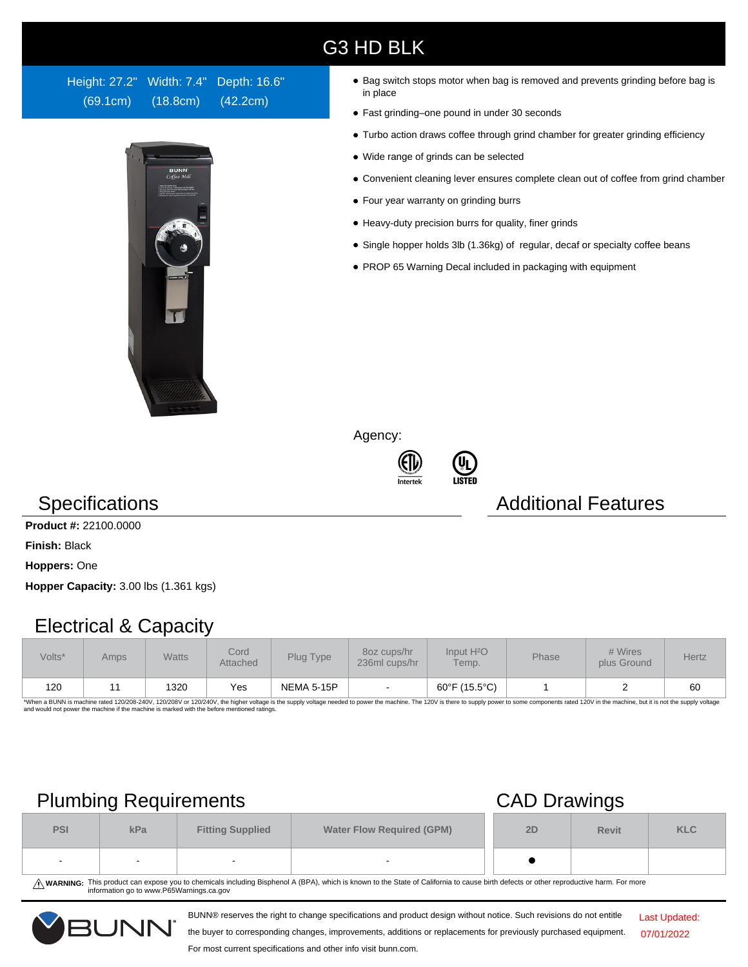### G3 HD BLK

Height: 27.2" Width: 7.4" Depth: 16.6" (69.1cm) (18.8cm) (42.2cm)



- Bag switch stops motor when bag is removed and prevents grinding before bag is in place
- Fast grinding–one pound in under 30 seconds
- Turbo action draws coffee through grind chamber for greater grinding efficiency
- Wide range of grinds can be selected
- Convenient cleaning lever ensures complete clean out of coffee from grind chamber
- Four year warranty on grinding burrs
- Heavy-duty precision burrs for quality, finer grinds
- Single hopper holds 3lb (1.36kg) of regular, decaf or specialty coffee beans
- PROP 65 Warning Decal included in packaging with equipment

Agency:





### **Specifications Additional Features**

**Product #:** 22100.0000

**Finish:** Black

**Hoppers:** One

**Hopper Capacity:** 3.00 lbs (1.361 kgs)

### Electrical & Capacity

| Volts* | Amps | <b>Watts</b> | Cord<br>Attached | Plug Type         | 80z cups/hr<br>236ml cups/hr | Input H <sup>2</sup> O<br>Temp. | Phase | # Wires<br>plus Ground | Hertz |
|--------|------|--------------|------------------|-------------------|------------------------------|---------------------------------|-------|------------------------|-------|
| 120    |      | 1320         | Yes              | <b>NEMA 5-15P</b> |                              | 60°F (15.5°C)                   |       |                        | 60    |

\*When a BUNN is machine rated 120/208-240V, 120/208V or 120/240V, the higher voltage is the supply voltage needed to power the machine. The 120V is there to supply power to some components rated 120V in the machine, but it

## Plumbing Requirements CAD Drawings

| <b>PSI</b> | kPa    | <b>Fitting Supplied</b> | <b>Water Flow Required (GPM)</b> | 2D | <b>Revit</b> | <b>KLC</b> |
|------------|--------|-------------------------|----------------------------------|----|--------------|------------|
| $\sim$     | $\sim$ |                         | $\overline{\phantom{a}}$         |    |              |            |

WARNING: This product can expose you to chemicals including Bisphenol A (BPA), which is known to the State of California to cause birth defects or other reproductive harm. For more<br>information go to www.P65Warnings.ca.gov

BUNN® reserves the right to change specifications and product design without notice. Such revisions do not entitle



the buyer to corresponding changes, improvements, additions or replacements for previously purchased equipment.

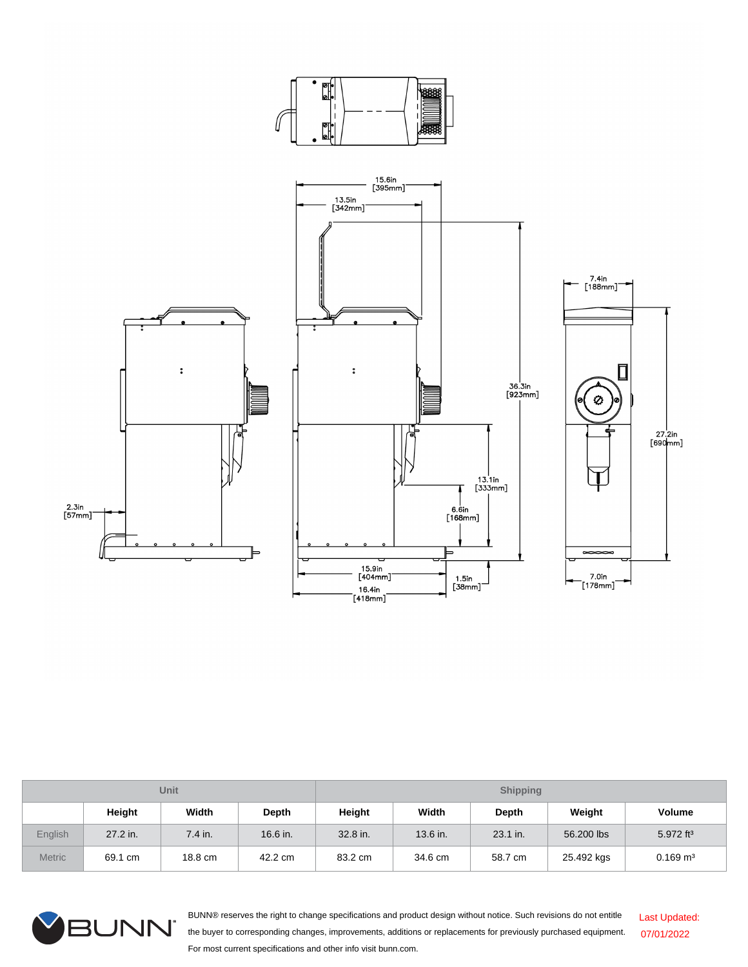

| Unit          |          |           |          | <b>Shipping</b> |          |          |            |                         |  |
|---------------|----------|-----------|----------|-----------------|----------|----------|------------|-------------------------|--|
|               | Height   | Width     | Depth    | Height          | Width    | Depth    | Weight     | <b>Volume</b>           |  |
| English       | 27.2 in. | $7.4$ in. | 16.6 in. | 32.8 in.        | 13.6 in. | 23.1 in. | 56,200 lbs | $5.972$ ft <sup>3</sup> |  |
| <b>Metric</b> | 69.1 cm  | 18.8 cm   | 42.2 cm  | 83.2 cm         | 34.6 cm  | 58.7 cm  | 25.492 kgs | $0.169$ m <sup>3</sup>  |  |



BUNN® reserves the right to change specifications and product design without notice. Such revisions do not entitle the buyer to corresponding changes, improvements, additions or replacements for previously purchased equipment. For most current specifications and other info visit bunn.com. Last Updated: 07/01/2022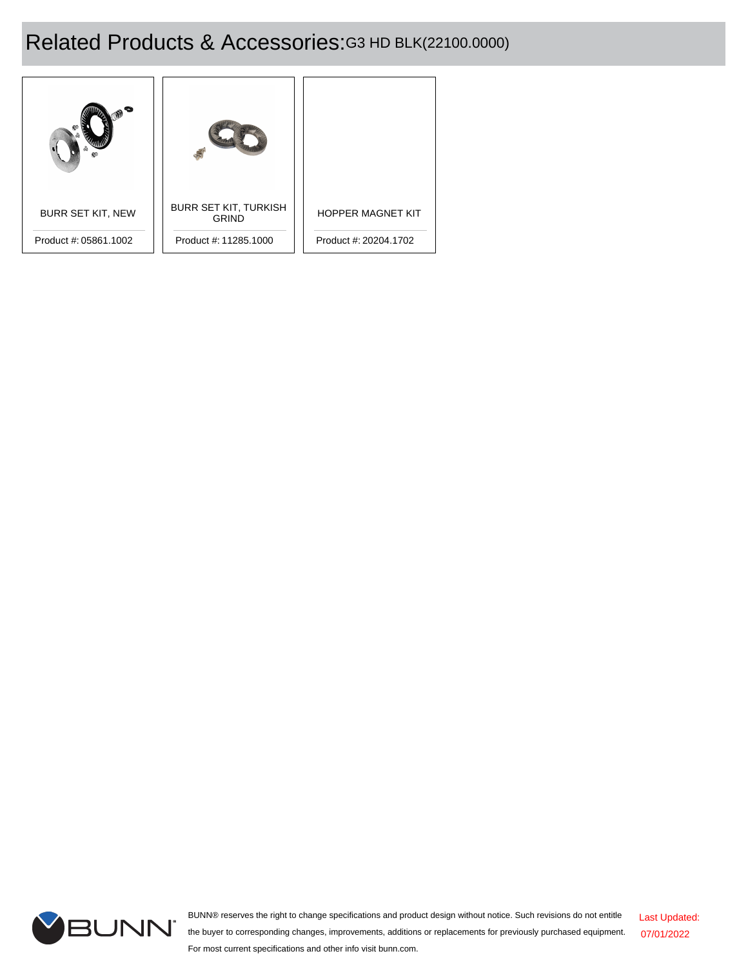# Related Products & Accessories:G3 HD BLK(22100.0000)